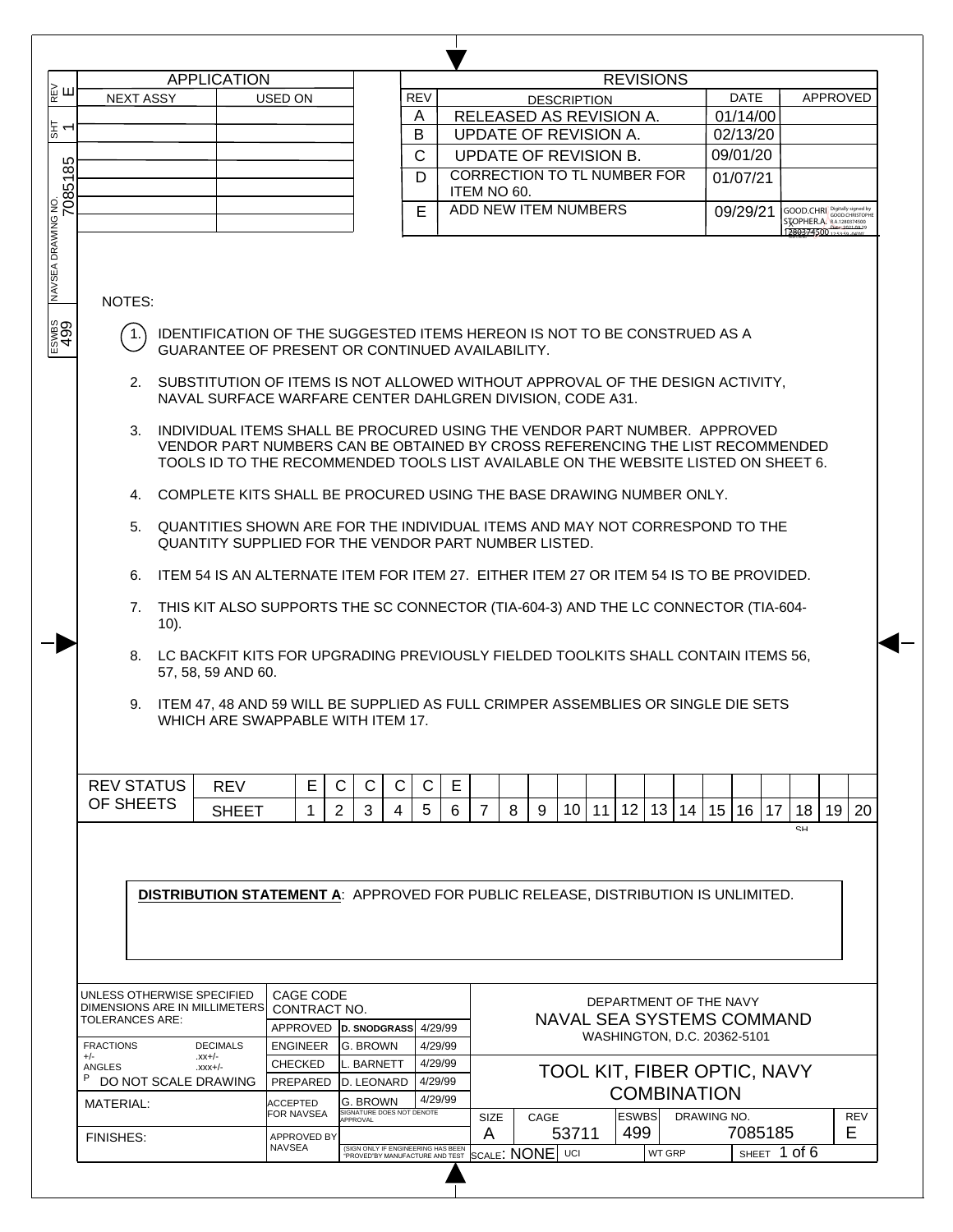|         |                                                             |         | <b>APPLICATION</b>                |                           |             |                                       |              |                                                                                                                                                                                                                                                                                                                                                                                                                                                                                                                                                                                                                                                                                                                                                                                                                                                                                                                                                                                                                        |        |                    |                       | <b>REVISIONS</b>    |    |                                  |         |                                                       |          |     |
|---------|-------------------------------------------------------------|---------|-----------------------------------|---------------------------|-------------|---------------------------------------|--------------|------------------------------------------------------------------------------------------------------------------------------------------------------------------------------------------------------------------------------------------------------------------------------------------------------------------------------------------------------------------------------------------------------------------------------------------------------------------------------------------------------------------------------------------------------------------------------------------------------------------------------------------------------------------------------------------------------------------------------------------------------------------------------------------------------------------------------------------------------------------------------------------------------------------------------------------------------------------------------------------------------------------------|--------|--------------------|-----------------------|---------------------|----|----------------------------------|---------|-------------------------------------------------------|----------|-----|
| ∦<br>⊯ш | <b>NEXT ASSY</b>                                            |         |                                   | USED ON                   |             |                                       | <b>REV</b>   |                                                                                                                                                                                                                                                                                                                                                                                                                                                                                                                                                                                                                                                                                                                                                                                                                                                                                                                                                                                                                        |        | <b>DESCRIPTION</b> |                       |                     |    | <b>DATE</b>                      |         |                                                       | APPROVED |     |
|         |                                                             |         |                                   |                           |             |                                       | A            | RELEASED AS REVISION A.                                                                                                                                                                                                                                                                                                                                                                                                                                                                                                                                                                                                                                                                                                                                                                                                                                                                                                                                                                                                |        |                    |                       |                     |    | 01/14/00                         |         |                                                       |          |     |
| 도리      |                                                             |         |                                   |                           |             |                                       | В            | UPDATE OF REVISION A.                                                                                                                                                                                                                                                                                                                                                                                                                                                                                                                                                                                                                                                                                                                                                                                                                                                                                                                                                                                                  |        |                    |                       |                     |    | 02/13/20                         |         |                                                       |          |     |
|         |                                                             |         |                                   |                           |             |                                       | $\mathsf{C}$ | UPDATE OF REVISION B.                                                                                                                                                                                                                                                                                                                                                                                                                                                                                                                                                                                                                                                                                                                                                                                                                                                                                                                                                                                                  |        |                    |                       |                     |    | 09/01/20                         |         |                                                       |          |     |
| 7085185 |                                                             |         |                                   |                           |             |                                       | D            | <b>CORRECTION TO TL NUMBER FOR</b>                                                                                                                                                                                                                                                                                                                                                                                                                                                                                                                                                                                                                                                                                                                                                                                                                                                                                                                                                                                     |        |                    |                       |                     |    | 01/07/21                         |         |                                                       |          |     |
|         |                                                             |         |                                   |                           |             |                                       |              | ITEM NO 60.                                                                                                                                                                                                                                                                                                                                                                                                                                                                                                                                                                                                                                                                                                                                                                                                                                                                                                                                                                                                            |        |                    |                       |                     |    |                                  |         |                                                       |          |     |
|         |                                                             |         |                                   |                           |             |                                       | E            | ADD NEW ITEM NUMBERS                                                                                                                                                                                                                                                                                                                                                                                                                                                                                                                                                                                                                                                                                                                                                                                                                                                                                                                                                                                                   |        |                    |                       |                     |    | 09/29/21                         |         | GOOD.CHRI GOOD.CHRISTOPHE<br>STOPHER.A. RA.1280374500 |          |     |
|         |                                                             |         |                                   |                           |             |                                       |              |                                                                                                                                                                                                                                                                                                                                                                                                                                                                                                                                                                                                                                                                                                                                                                                                                                                                                                                                                                                                                        |        |                    |                       |                     |    |                                  |         |                                                       |          |     |
|         | NOTES:<br>1.<br>3.<br>5.<br>6.<br>7.<br>8.                  | $10$ ). | 57, 58, 59 AND 60.                |                           |             |                                       |              | IDENTIFICATION OF THE SUGGESTED ITEMS HEREON IS NOT TO BE CONSTRUED AS A<br>GUARANTEE OF PRESENT OR CONTINUED AVAILABILITY.<br>2. SUBSTITUTION OF ITEMS IS NOT ALLOWED WITHOUT APPROVAL OF THE DESIGN ACTIVITY,<br>NAVAL SURFACE WARFARE CENTER DAHLGREN DIVISION, CODE A31.<br>INDIVIDUAL ITEMS SHALL BE PROCURED USING THE VENDOR PART NUMBER. APPROVED<br>VENDOR PART NUMBERS CAN BE OBTAINED BY CROSS REFERENCING THE LIST RECOMMENDED<br>TOOLS ID TO THE RECOMMENDED TOOLS LIST AVAILABLE ON THE WEBSITE LISTED ON SHEET 6.<br>4. COMPLETE KITS SHALL BE PROCURED USING THE BASE DRAWING NUMBER ONLY.<br>QUANTITIES SHOWN ARE FOR THE INDIVIDUAL ITEMS AND MAY NOT CORRESPOND TO THE<br>QUANTITY SUPPLIED FOR THE VENDOR PART NUMBER LISTED.<br>ITEM 54 IS AN ALTERNATE ITEM FOR ITEM 27. EITHER ITEM 27 OR ITEM 54 IS TO BE PROVIDED.<br>THIS KIT ALSO SUPPORTS THE SC CONNECTOR (TIA-604-3) AND THE LC CONNECTOR (TIA-604-<br>LC BACKFIT KITS FOR UPGRADING PREVIOUSLY FIELDED TOOLKITS SHALL CONTAIN ITEMS 56, |        |                    |                       |                     |    |                                  |         |                                                       |          |     |
|         |                                                             |         | WHICH ARE SWAPPABLE WITH ITEM 17. |                           |             |                                       |              | 9. ITEM 47, 48 AND 59 WILL BE SUPPLIED AS FULL CRIMPER ASSEMBLIES OR SINGLE DIE SETS                                                                                                                                                                                                                                                                                                                                                                                                                                                                                                                                                                                                                                                                                                                                                                                                                                                                                                                                   |        |                    |                       |                     |    |                                  |         |                                                       |          |     |
|         |                                                             |         |                                   |                           |             |                                       |              |                                                                                                                                                                                                                                                                                                                                                                                                                                                                                                                                                                                                                                                                                                                                                                                                                                                                                                                                                                                                                        |        |                    |                       |                     |    |                                  |         |                                                       |          |     |
|         |                                                             |         |                                   |                           |             |                                       |              |                                                                                                                                                                                                                                                                                                                                                                                                                                                                                                                                                                                                                                                                                                                                                                                                                                                                                                                                                                                                                        |        |                    |                       |                     |    |                                  |         |                                                       |          |     |
|         | <b>REV STATUS</b>                                           |         | <b>REV</b>                        | E                         | $\mathsf C$ | C<br>C                                | C            | E                                                                                                                                                                                                                                                                                                                                                                                                                                                                                                                                                                                                                                                                                                                                                                                                                                                                                                                                                                                                                      |        |                    |                       |                     |    |                                  |         |                                                       |          |     |
|         | OF SHEETS                                                   |         | <b>SHEET</b>                      | 1                         | 2           | 3<br>4                                | 5            | 6<br>7                                                                                                                                                                                                                                                                                                                                                                                                                                                                                                                                                                                                                                                                                                                                                                                                                                                                                                                                                                                                                 | 8<br>9 | 10 <sup>1</sup>    | 12 <sup>°</sup><br>11 | 13                  | 14 | 15<br>16                         | 17      | 18<br>SH                                              | 19       |     |
|         |                                                             |         |                                   |                           |             |                                       |              | <b>DISTRIBUTION STATEMENT A: APPROVED FOR PUBLIC RELEASE, DISTRIBUTION IS UNLIMITED.</b>                                                                                                                                                                                                                                                                                                                                                                                                                                                                                                                                                                                                                                                                                                                                                                                                                                                                                                                               |        |                    |                       |                     |    |                                  |         |                                                       |          | 20  |
|         |                                                             |         |                                   |                           |             |                                       |              |                                                                                                                                                                                                                                                                                                                                                                                                                                                                                                                                                                                                                                                                                                                                                                                                                                                                                                                                                                                                                        |        |                    |                       |                     |    |                                  |         |                                                       |          |     |
|         | UNLESS OTHERWISE SPECIFIED<br>DIMENSIONS ARE IN MILLIMETERS |         |                                   | CAGE CODE<br>CONTRACT NO. |             |                                       |              |                                                                                                                                                                                                                                                                                                                                                                                                                                                                                                                                                                                                                                                                                                                                                                                                                                                                                                                                                                                                                        |        |                    |                       |                     |    | DEPARTMENT OF THE NAVY           |         |                                                       |          |     |
|         | TOLERANCES ARE:                                             |         |                                   | <b>APPROVED</b>           |             | D. SNODGRASS 4/29/99                  |              |                                                                                                                                                                                                                                                                                                                                                                                                                                                                                                                                                                                                                                                                                                                                                                                                                                                                                                                                                                                                                        |        |                    |                       |                     |    | <b>NAVAL SEA SYSTEMS COMMAND</b> |         |                                                       |          |     |
|         | <b>FRACTIONS</b>                                            |         | <b>DECIMALS</b>                   | <b>ENGINEER</b>           |             |                                       | 4/29/99      |                                                                                                                                                                                                                                                                                                                                                                                                                                                                                                                                                                                                                                                                                                                                                                                                                                                                                                                                                                                                                        |        |                    |                       |                     |    | WASHINGTON, D.C. 20362-5101      |         |                                                       |          |     |
|         | $+/-$                                                       |         | $-xx+/-$                          | <b>CHECKED</b>            |             | G. BROWN<br>ll. BARNETT               | 4/29/99      |                                                                                                                                                                                                                                                                                                                                                                                                                                                                                                                                                                                                                                                                                                                                                                                                                                                                                                                                                                                                                        |        |                    |                       |                     |    |                                  |         |                                                       |          |     |
|         | ANGLES<br>P                                                 |         | $-xxx+/-$                         |                           |             |                                       | 4/29/99      |                                                                                                                                                                                                                                                                                                                                                                                                                                                                                                                                                                                                                                                                                                                                                                                                                                                                                                                                                                                                                        |        |                    |                       |                     |    | TOOL KIT, FIBER OPTIC, NAVY      |         |                                                       |          |     |
|         | DO NOT SCALE DRAWING                                        |         |                                   | PREPARED                  |             | D. LEONARD                            |              |                                                                                                                                                                                                                                                                                                                                                                                                                                                                                                                                                                                                                                                                                                                                                                                                                                                                                                                                                                                                                        |        |                    |                       | <b>COMBINATION</b>  |    |                                  |         |                                                       |          |     |
|         | MATERIAL:                                                   |         |                                   | ACCEPTED<br>FOR NAVSEA    |             | G. BROWN<br>SIGNATURE DOES NOT DENOTE | 4/29/99      |                                                                                                                                                                                                                                                                                                                                                                                                                                                                                                                                                                                                                                                                                                                                                                                                                                                                                                                                                                                                                        |        |                    |                       |                     |    |                                  |         |                                                       |          |     |
|         | <b>FINISHES:</b>                                            |         |                                   | <b>APPROVED BY</b>        |             | APPROVAL                              |              | <b>SIZE</b><br>A                                                                                                                                                                                                                                                                                                                                                                                                                                                                                                                                                                                                                                                                                                                                                                                                                                                                                                                                                                                                       | CAGE   | 53711              |                       | <b>ESWBS</b><br>499 |    | DRAWING NO.                      | 7085185 |                                                       | E        | REV |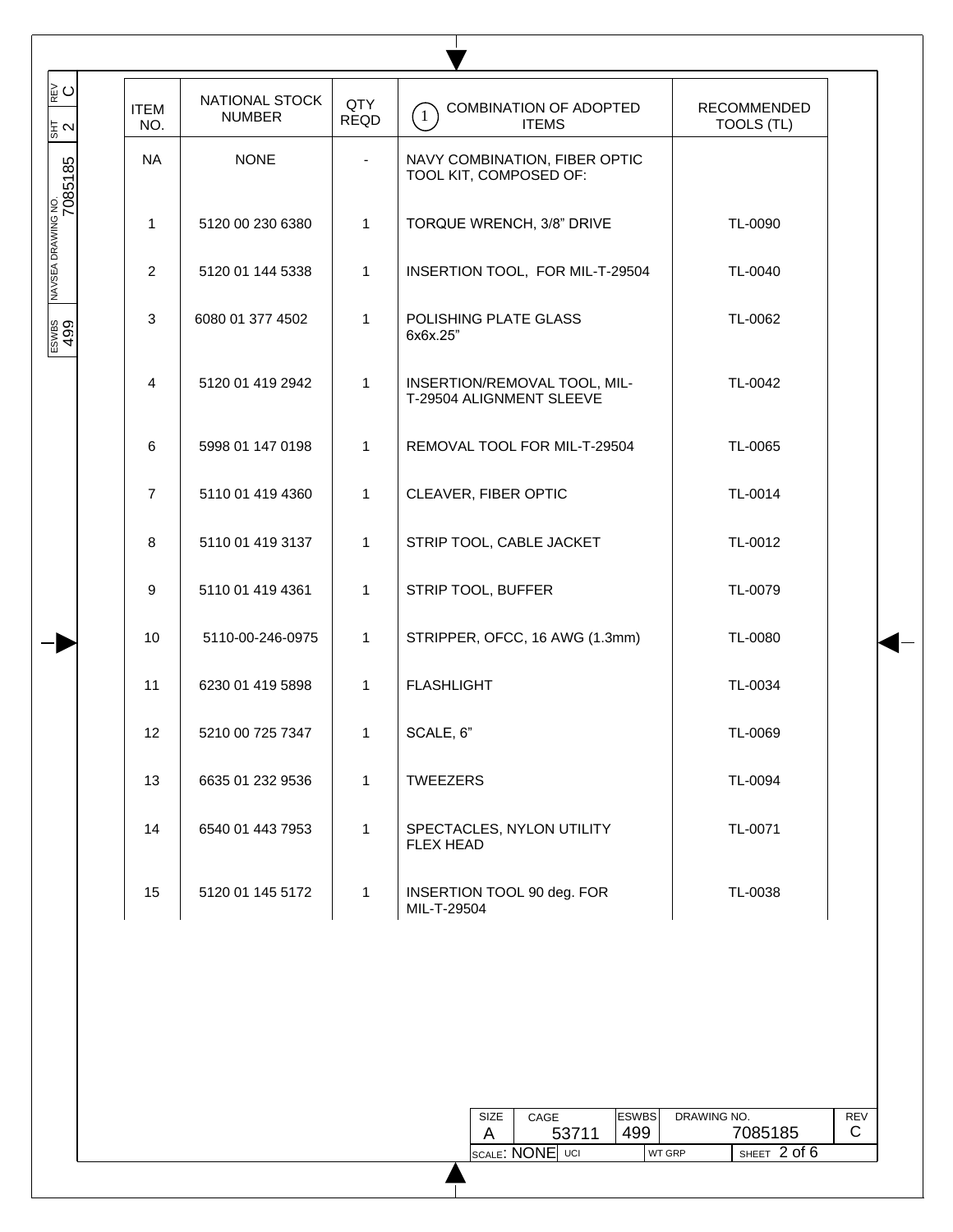| ∥ౖ౦<br>동지                     | <b>ITEM</b><br>NO. | NATIONAL STOCK<br><b>NUMBER</b> | QTY<br><b>REQD</b> | COMBINATION OF ADOPTED<br>$\overline{1}$<br><b>ITEMS</b> | <b>RECOMMENDED</b><br><b>TOOLS (TL)</b> |
|-------------------------------|--------------------|---------------------------------|--------------------|----------------------------------------------------------|-----------------------------------------|
| NAVSEA DRAWING NO.<br>7085185 | <b>NA</b>          | <b>NONE</b>                     | $\blacksquare$     | NAVY COMBINATION, FIBER OPTIC<br>TOOL KIT, COMPOSED OF:  |                                         |
|                               | $\mathbf{1}$       | 5120 00 230 6380                | $\mathbf{1}$       | TORQUE WRENCH, 3/8" DRIVE                                | TL-0090                                 |
|                               | 2                  | 5120 01 144 5338                | $\mathbf{1}$       | INSERTION TOOL, FOR MIL-T-29504                          | TL-0040                                 |
| $rac{60}{499}$                | 3                  | 6080 01 377 4502                | 1                  | POLISHING PLATE GLASS<br>6x6x.25"                        | TL-0062                                 |
|                               | 4                  | 5120 01 419 2942                | 1                  | INSERTION/REMOVAL TOOL, MIL-<br>T-29504 ALIGNMENT SLEEVE | TL-0042                                 |
|                               | 6                  | 5998 01 147 0198                | $\mathbf{1}$       | REMOVAL TOOL FOR MIL-T-29504                             | TL-0065                                 |
|                               | $\overline{7}$     | 5110 01 419 4360                | $\mathbf{1}$       | CLEAVER, FIBER OPTIC                                     | TL-0014                                 |
|                               | 8                  | 5110 01 419 3137                | $\mathbf{1}$       | STRIP TOOL, CABLE JACKET                                 | TL-0012                                 |
|                               | 9                  | 5110 01 419 4361                | $\mathbf{1}$       | STRIP TOOL, BUFFER                                       | TL-0079                                 |
|                               | 10                 | 5110-00-246-0975                | $\mathbf{1}$       | STRIPPER, OFCC, 16 AWG (1.3mm)                           | TL-0080                                 |
|                               | 11                 | 6230 01 419 5898                | $\mathbf{1}$       | <b>FLASHLIGHT</b>                                        | TL-0034                                 |
|                               | 12                 | 5210 00 725 7347                | 1                  | SCALE, 6"                                                | TL-0069                                 |
|                               | 13                 | 6635 01 232 9536                | $\mathbf{1}$       | <b>TWEEZERS</b>                                          | TL-0094                                 |
|                               | 14                 | 6540 01 443 7953                | $\mathbf{1}$       | SPECTACLES, NYLON UTILITY<br><b>FLEX HEAD</b>            | TL-0071                                 |
|                               | 15                 | 5120 01 145 5172                | $\mathbf{1}$       | INSERTION TOOL 90 deg. FOR<br>MIL-T-29504                | TL-0038                                 |

| <b>SIZE</b> | CAGE            |       | <b>ESWBS</b> | DRAWING NO.   |                          | REV |
|-------------|-----------------|-------|--------------|---------------|--------------------------|-----|
|             |                 | 53711 | 499          |               | 7085185                  | C   |
|             | SCALE: NONE UCI |       |              | <b>WT GRP</b> | $^{\prime}$ SHEET 2 of 6 |     |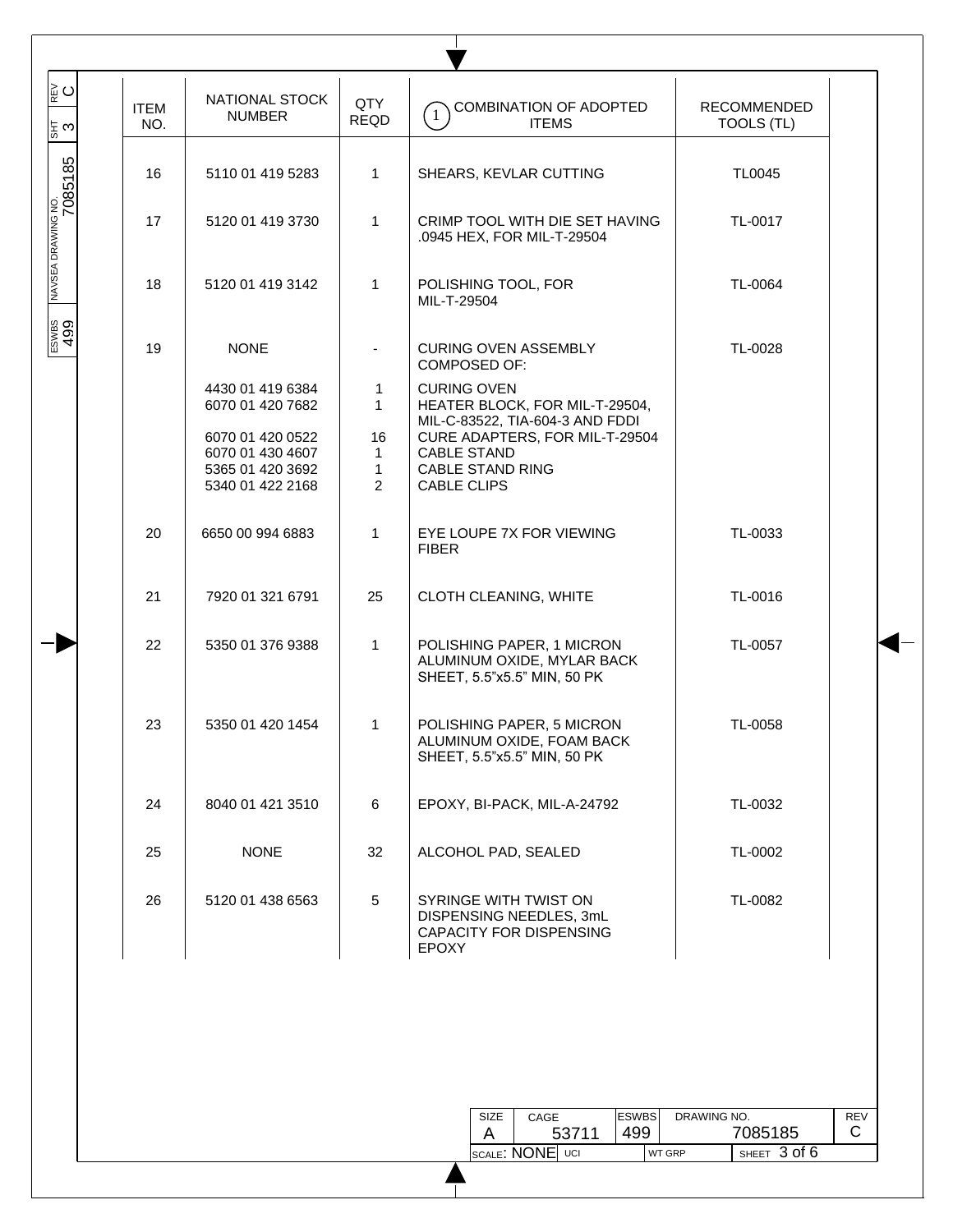| ∥⊵ບ<br> ౖ బ                   | <b>ITEM</b><br>NO. | NATIONAL STOCK<br><b>NUMBER</b>                                              | QTY<br><b>REQD</b>                                   | <b>COMBINATION OF ADOPTED</b><br>$\left(1\right)$<br><b>ITEMS</b>                                  | <b>RECOMMENDED</b><br><b>TOOLS (TL)</b> |
|-------------------------------|--------------------|------------------------------------------------------------------------------|------------------------------------------------------|----------------------------------------------------------------------------------------------------|-----------------------------------------|
| NAVSEA DRAWING NO.<br>7085185 | 16                 | 5110 01 419 5283                                                             | $\mathbf{1}$                                         | SHEARS, KEVLAR CUTTING                                                                             | <b>TL0045</b>                           |
|                               | 17                 | 5120 01 419 3730                                                             | $\mathbf{1}$                                         | CRIMP TOOL WITH DIE SET HAVING<br>.0945 HEX, FOR MIL-T-29504                                       | TL-0017                                 |
|                               | 18                 | 5120 01 419 3142                                                             | $\mathbf{1}$                                         | POLISHING TOOL, FOR<br>MIL-T-29504                                                                 | TL-0064                                 |
|                               | 19                 | <b>NONE</b>                                                                  |                                                      | <b>CURING OVEN ASSEMBLY</b><br><b>COMPOSED OF:</b>                                                 | TL-0028                                 |
|                               |                    | 4430 01 419 6384<br>6070 01 420 7682                                         | $\mathbf 1$<br>$\mathbf{1}$                          | <b>CURING OVEN</b><br>HEATER BLOCK, FOR MIL-T-29504,<br>MIL-C-83522, TIA-604-3 AND FDDI            |                                         |
|                               |                    | 6070 01 420 0522<br>6070 01 430 4607<br>5365 01 420 3692<br>5340 01 422 2168 | 16<br>$\mathbf{1}$<br>$\mathbf{1}$<br>$\overline{2}$ | CURE ADAPTERS, FOR MIL-T-29504<br><b>CABLE STAND</b><br><b>CABLE STAND RING</b><br>CABLE CLIPS     |                                         |
|                               | 20                 | 6650 00 994 6883                                                             | $\mathbf{1}$                                         | EYE LOUPE 7X FOR VIEWING<br><b>FIBER</b>                                                           | TL-0033                                 |
|                               | 21                 | 7920 01 321 6791                                                             | 25                                                   | CLOTH CLEANING, WHITE                                                                              | TL-0016                                 |
|                               | 22                 | 5350 01 376 9388                                                             | $\mathbf{1}$                                         | POLISHING PAPER, 1 MICRON<br>ALUMINUM OXIDE, MYLAR BACK<br>SHEET, 5.5"x5.5" MIN, 50 PK             | TL-0057                                 |
|                               | 23                 | 5350 01 420 1454                                                             | $\mathbf{1}$                                         | POLISHING PAPER, 5 MICRON<br>ALUMINUM OXIDE, FOAM BACK<br>SHEET, 5.5"x5.5" MIN, 50 PK              | TL-0058                                 |
|                               | 24                 | 8040 01 421 3510                                                             | 6                                                    | EPOXY, BI-PACK, MIL-A-24792                                                                        | TL-0032                                 |
|                               | 25                 | <b>NONE</b>                                                                  | 32                                                   | ALCOHOL PAD, SEALED                                                                                | TL-0002                                 |
|                               | 26                 | 5120 01 438 6563                                                             | 5                                                    | SYRINGE WITH TWIST ON<br>DISPENSING NEEDLES, 3mL<br><b>CAPACITY FOR DISPENSING</b><br><b>EPOXY</b> | TL-0082                                 |

| SIZE | CAGE  | <b>ESWBS</b> | DRAWING NO.   |                    | REV |
|------|-------|--------------|---------------|--------------------|-----|
|      | 53711 | 499          |               | 7085185            | С   |
|      |       |              | <b>WT GRP</b> | $'$ SHEET 3 of $6$ |     |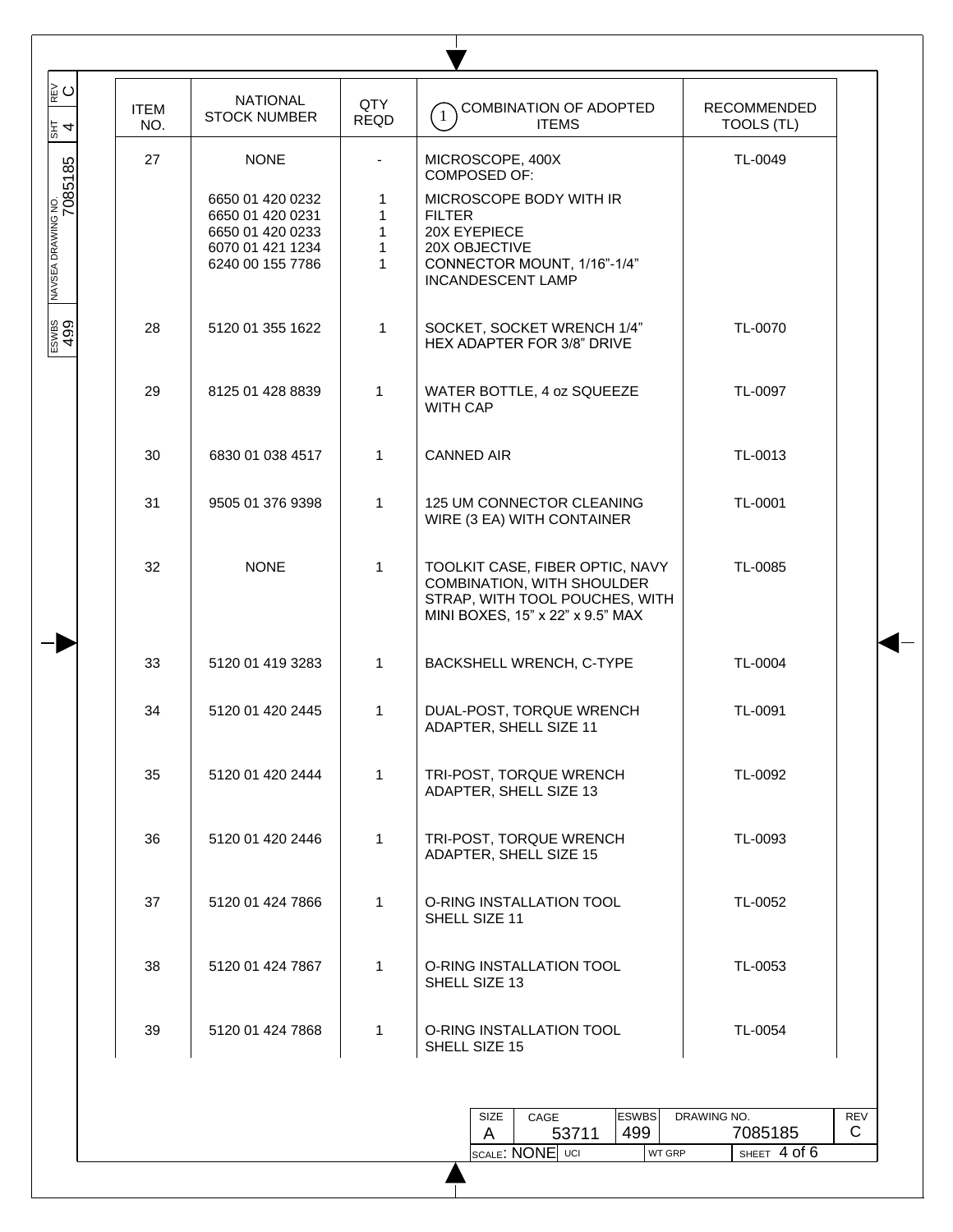| 27<br><b>NONE</b><br>MICROSCOPE, 400X<br>TL-0049<br>NAVSEA DRAWING NO.<br>7085185<br><b>COMPOSED OF:</b><br>6650 01 420 0232<br>MICROSCOPE BODY WITH IR<br>1<br>6650 01 420 0231<br>1<br><b>FILTER</b><br>1<br>20X EYEPIECE<br>6650 01 420 0233<br>$\mathbf{1}$<br>20X OBJECTIVE<br>6070 01 421 1234<br>$\mathbf{1}$<br>CONNECTOR MOUNT, 1/16"-1/4"<br>6240 00 155 7786<br><b>INCANDESCENT LAMP</b><br>ESWBS<br>499<br>TL-0070<br>28<br>5120 01 355 1622<br>$\mathbf{1}$<br>SOCKET, SOCKET WRENCH 1/4"<br>HEX ADAPTER FOR 3/8" DRIVE<br>1<br>WATER BOTTLE, 4 oz SQUEEZE<br>TL-0097<br>29<br>8125 01 428 8839<br><b>WITH CAP</b><br>1<br>30<br>6830 01 038 4517<br><b>CANNED AIR</b><br>TL-0013<br>1<br>31<br>9505 01 376 9398<br>125 UM CONNECTOR CLEANING<br>TL-0001<br>WIRE (3 EA) WITH CONTAINER<br>$\mathbf{1}$<br>32<br><b>NONE</b><br>TOOLKIT CASE, FIBER OPTIC, NAVY<br>TL-0085<br>COMBINATION, WITH SHOULDER<br>STRAP, WITH TOOL POUCHES, WITH<br>MINI BOXES, 15" x 22" x 9.5" MAX<br>$\mathbf{1}$<br>TL-0004<br>33<br>5120 01 419 3283<br>BACKSHELL WRENCH, C-TYPE<br>$\mathbf{1}$<br>TL-0091<br>34<br>5120 01 420 2445<br>DUAL-POST, TORQUE WRENCH<br>ADAPTER, SHELL SIZE 11<br>$\mathbf{1}$<br>35<br>TRI-POST, TORQUE WRENCH<br>TL-0092<br>5120 01 420 2444<br>ADAPTER, SHELL SIZE 13<br>$\mathbf{1}$<br>TRI-POST, TORQUE WRENCH<br>36<br>5120 01 420 2446<br>TL-0093<br>ADAPTER, SHELL SIZE 15<br>1<br>37<br>O-RING INSTALLATION TOOL<br>TL-0052<br>5120 01 424 7866<br>SHELL SIZE 11<br>1<br>O-RING INSTALLATION TOOL<br>38<br>5120 01 424 7867<br>TL-0053<br>SHELL SIZE 13<br>39<br>5120 01 424 7868<br>$\mathbf{1}$<br>O-RING INSTALLATION TOOL<br>TL-0054<br>SHELL SIZE 15 | ∣ະ⊂<br>$\frac{12}{3}$ 4 | <b>ITEM</b><br>NO. | <b>NATIONAL</b><br><b>STOCK NUMBER</b> | QTY<br><b>REQD</b> | COMBINATION OF ADOPTED<br>$\left(1\right)$<br><b>ITEMS</b> | <b>RECOMMENDED</b><br>TOOLS (TL) |
|--------------------------------------------------------------------------------------------------------------------------------------------------------------------------------------------------------------------------------------------------------------------------------------------------------------------------------------------------------------------------------------------------------------------------------------------------------------------------------------------------------------------------------------------------------------------------------------------------------------------------------------------------------------------------------------------------------------------------------------------------------------------------------------------------------------------------------------------------------------------------------------------------------------------------------------------------------------------------------------------------------------------------------------------------------------------------------------------------------------------------------------------------------------------------------------------------------------------------------------------------------------------------------------------------------------------------------------------------------------------------------------------------------------------------------------------------------------------------------------------------------------------------------------------------------------------------------------------------------------------------------------------------------------------------------------------|-------------------------|--------------------|----------------------------------------|--------------------|------------------------------------------------------------|----------------------------------|
|                                                                                                                                                                                                                                                                                                                                                                                                                                                                                                                                                                                                                                                                                                                                                                                                                                                                                                                                                                                                                                                                                                                                                                                                                                                                                                                                                                                                                                                                                                                                                                                                                                                                                            |                         |                    |                                        |                    |                                                            |                                  |
|                                                                                                                                                                                                                                                                                                                                                                                                                                                                                                                                                                                                                                                                                                                                                                                                                                                                                                                                                                                                                                                                                                                                                                                                                                                                                                                                                                                                                                                                                                                                                                                                                                                                                            |                         |                    |                                        |                    |                                                            |                                  |
|                                                                                                                                                                                                                                                                                                                                                                                                                                                                                                                                                                                                                                                                                                                                                                                                                                                                                                                                                                                                                                                                                                                                                                                                                                                                                                                                                                                                                                                                                                                                                                                                                                                                                            |                         |                    |                                        |                    |                                                            |                                  |
|                                                                                                                                                                                                                                                                                                                                                                                                                                                                                                                                                                                                                                                                                                                                                                                                                                                                                                                                                                                                                                                                                                                                                                                                                                                                                                                                                                                                                                                                                                                                                                                                                                                                                            |                         |                    |                                        |                    |                                                            |                                  |
|                                                                                                                                                                                                                                                                                                                                                                                                                                                                                                                                                                                                                                                                                                                                                                                                                                                                                                                                                                                                                                                                                                                                                                                                                                                                                                                                                                                                                                                                                                                                                                                                                                                                                            |                         |                    |                                        |                    |                                                            |                                  |
|                                                                                                                                                                                                                                                                                                                                                                                                                                                                                                                                                                                                                                                                                                                                                                                                                                                                                                                                                                                                                                                                                                                                                                                                                                                                                                                                                                                                                                                                                                                                                                                                                                                                                            |                         |                    |                                        |                    |                                                            |                                  |
|                                                                                                                                                                                                                                                                                                                                                                                                                                                                                                                                                                                                                                                                                                                                                                                                                                                                                                                                                                                                                                                                                                                                                                                                                                                                                                                                                                                                                                                                                                                                                                                                                                                                                            |                         |                    |                                        |                    |                                                            |                                  |
|                                                                                                                                                                                                                                                                                                                                                                                                                                                                                                                                                                                                                                                                                                                                                                                                                                                                                                                                                                                                                                                                                                                                                                                                                                                                                                                                                                                                                                                                                                                                                                                                                                                                                            |                         |                    |                                        |                    |                                                            |                                  |
|                                                                                                                                                                                                                                                                                                                                                                                                                                                                                                                                                                                                                                                                                                                                                                                                                                                                                                                                                                                                                                                                                                                                                                                                                                                                                                                                                                                                                                                                                                                                                                                                                                                                                            |                         |                    |                                        |                    |                                                            |                                  |
|                                                                                                                                                                                                                                                                                                                                                                                                                                                                                                                                                                                                                                                                                                                                                                                                                                                                                                                                                                                                                                                                                                                                                                                                                                                                                                                                                                                                                                                                                                                                                                                                                                                                                            |                         |                    |                                        |                    |                                                            |                                  |
|                                                                                                                                                                                                                                                                                                                                                                                                                                                                                                                                                                                                                                                                                                                                                                                                                                                                                                                                                                                                                                                                                                                                                                                                                                                                                                                                                                                                                                                                                                                                                                                                                                                                                            |                         |                    |                                        |                    |                                                            |                                  |
|                                                                                                                                                                                                                                                                                                                                                                                                                                                                                                                                                                                                                                                                                                                                                                                                                                                                                                                                                                                                                                                                                                                                                                                                                                                                                                                                                                                                                                                                                                                                                                                                                                                                                            |                         |                    |                                        |                    |                                                            |                                  |
|                                                                                                                                                                                                                                                                                                                                                                                                                                                                                                                                                                                                                                                                                                                                                                                                                                                                                                                                                                                                                                                                                                                                                                                                                                                                                                                                                                                                                                                                                                                                                                                                                                                                                            |                         |                    |                                        |                    |                                                            |                                  |
|                                                                                                                                                                                                                                                                                                                                                                                                                                                                                                                                                                                                                                                                                                                                                                                                                                                                                                                                                                                                                                                                                                                                                                                                                                                                                                                                                                                                                                                                                                                                                                                                                                                                                            |                         |                    |                                        |                    |                                                            |                                  |
| <b>ESWBS</b><br>CAGE<br>DRAWING NO.<br>SIZE<br><b>REV</b>                                                                                                                                                                                                                                                                                                                                                                                                                                                                                                                                                                                                                                                                                                                                                                                                                                                                                                                                                                                                                                                                                                                                                                                                                                                                                                                                                                                                                                                                                                                                                                                                                                  |                         |                    |                                        |                    | 499<br>53711<br>A<br><b>SCALE: NONE UCI</b>                | 7085185<br>C<br>SHEET 4 of 6     |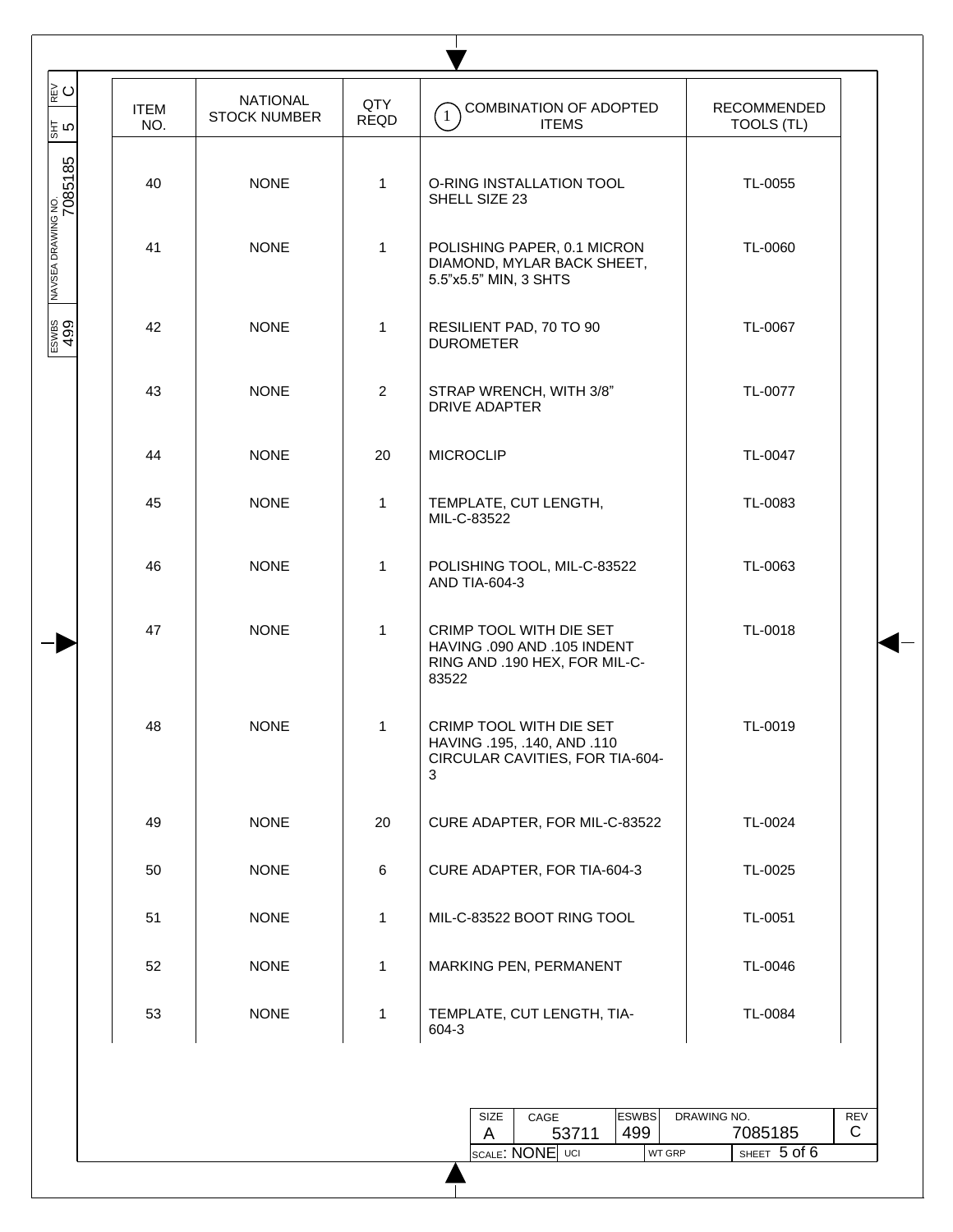| ∥⊵ບ                         |                    | <b>NATIONAL</b>     | QTY            | COMBINATION OF ADOPTED                                                                           | RECOMMENDED |
|-----------------------------|--------------------|---------------------|----------------|--------------------------------------------------------------------------------------------------|-------------|
|                             | <b>ITEM</b><br>NO. | <b>STOCK NUMBER</b> | <b>REQD</b>    | $\overline{1}$<br><b>ITEMS</b>                                                                   | TOOLS (TL)  |
| $\frac{5}{15}$ က            | 40                 | <b>NONE</b>         | $\mathbf{1}$   | O-RING INSTALLATION TOOL<br>SHELL SIZE 23                                                        | TL-0055     |
| NAVSEA DRAWING NO.<br> <br> | 41                 | <b>NONE</b>         | $\mathbf{1}$   | POLISHING PAPER, 0.1 MICRON<br>DIAMOND, MYLAR BACK SHEET,<br>5.5"x5.5" MIN, 3 SHTS               | TL-0060     |
| ESWBS<br>499                | 42                 | <b>NONE</b>         | $\mathbf{1}$   | RESILIENT PAD, 70 TO 90<br><b>DUROMETER</b>                                                      | TL-0067     |
|                             | 43                 | <b>NONE</b>         | $\overline{2}$ | STRAP WRENCH, WITH 3/8"<br><b>DRIVE ADAPTER</b>                                                  | TL-0077     |
|                             | 44                 | <b>NONE</b>         | 20             | <b>MICROCLIP</b>                                                                                 | TL-0047     |
|                             | 45                 | <b>NONE</b>         | $\mathbf{1}$   | TEMPLATE, CUT LENGTH,<br>MIL-C-83522                                                             | TL-0083     |
|                             | 46                 | <b>NONE</b>         | $\mathbf{1}$   | POLISHING TOOL, MIL-C-83522<br>AND TIA-604-3                                                     | TL-0063     |
|                             | 47                 | <b>NONE</b>         | $\mathbf{1}$   | CRIMP TOOL WITH DIE SET<br>HAVING .090 AND .105 INDENT<br>RING AND .190 HEX, FOR MIL-C-<br>83522 | TL-0018     |
|                             | 48                 | <b>NONE</b>         | 1              | CRIMP TOOL WITH DIE SET<br>HAVING .195, .140, AND .110<br>CIRCULAR CAVITIES, FOR TIA-604-<br>3   | TL-0019     |
|                             | 49                 | <b>NONE</b>         | 20             | CURE ADAPTER, FOR MIL-C-83522                                                                    | TL-0024     |
|                             | 50                 | <b>NONE</b>         | 6              | CURE ADAPTER, FOR TIA-604-3                                                                      | TL-0025     |
|                             | 51                 | <b>NONE</b>         | $\mathbf{1}$   | MIL-C-83522 BOOT RING TOOL                                                                       | TL-0051     |
|                             | 52                 | <b>NONE</b>         | $\mathbf{1}$   | MARKING PEN, PERMANENT                                                                           | TL-0046     |
|                             | 53                 | <b>NONE</b>         | $\mathbf{1}$   | TEMPLATE, CUT LENGTH, TIA-<br>604-3                                                              | TL-0084     |